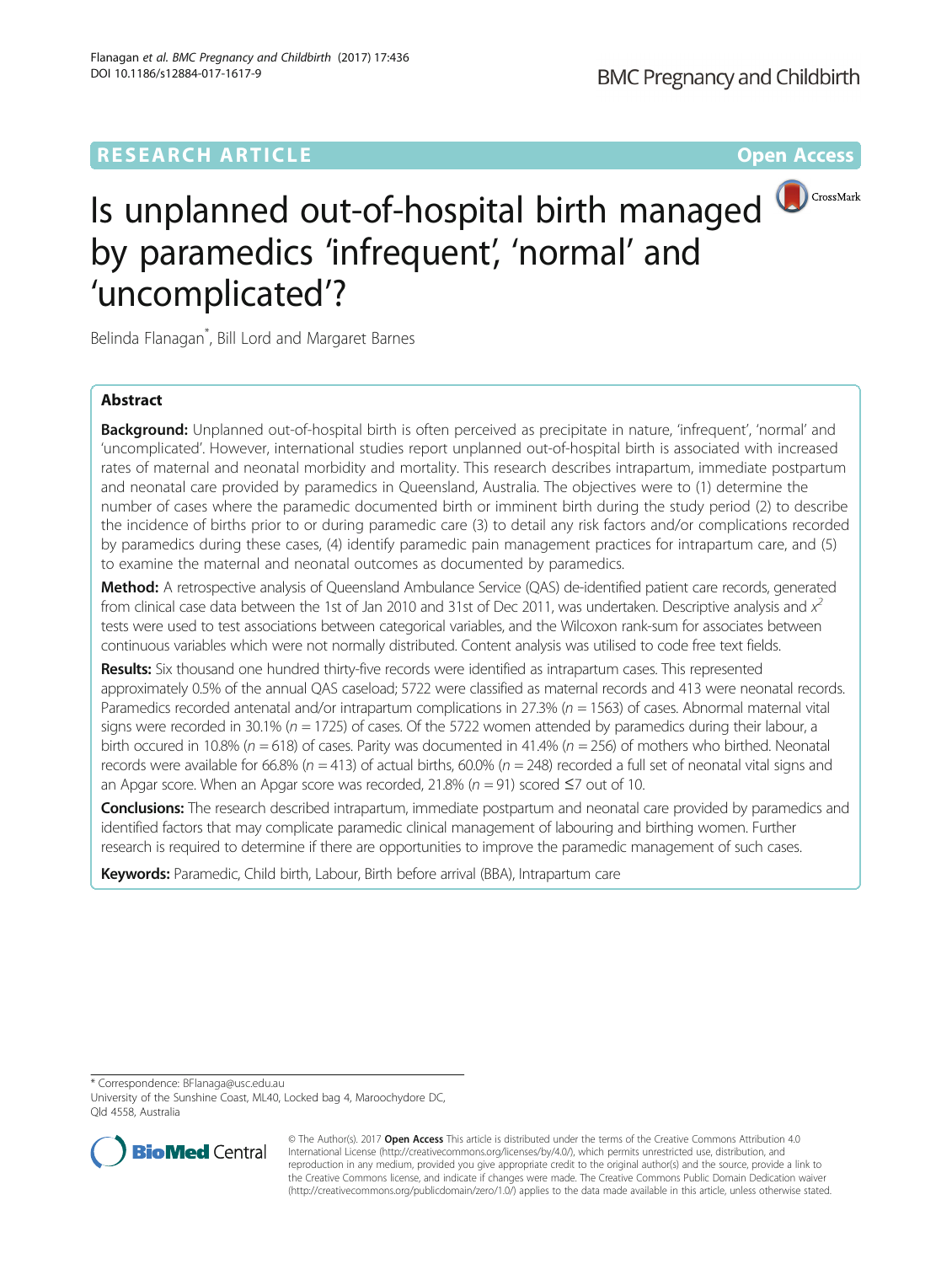## **RESEARCH ARTICLE EXECUTE: CONSIDERING A RESEARCH ARTICLE**



# Is unplanned out-of-hospital birth managed by paramedics 'infrequent', 'normal' and ו<br>ו 'uncomplicated'?

Belinda Flanagan\* , Bill Lord and Margaret Barnes

## Abstract

Background: Unplanned out-of-hospital birth is often perceived as precipitate in nature, 'infrequent', 'normal' and 'uncomplicated'. However, international studies report unplanned out-of-hospital birth is associated with increased rates of maternal and neonatal morbidity and mortality. This research describes intrapartum, immediate postpartum and neonatal care provided by paramedics in Queensland, Australia. The objectives were to (1) determine the number of cases where the paramedic documented birth or imminent birth during the study period (2) to describe the incidence of births prior to or during paramedic care (3) to detail any risk factors and/or complications recorded by paramedics during these cases, (4) identify paramedic pain management practices for intrapartum care, and (5) to examine the maternal and neonatal outcomes as documented by paramedics.

Method: A retrospective analysis of Queensland Ambulance Service (QAS) de-identified patient care records, generated from clinical case data between the 1st of Jan 2010 and 31st of Dec 2011, was undertaken. Descriptive analysis and  $x^2$ tests were used to test associations between categorical variables, and the Wilcoxon rank-sum for associates between continuous variables which were not normally distributed. Content analysis was utilised to code free text fields.

Results: Six thousand one hundred thirty-five records were identified as intrapartum cases. This represented approximately 0.5% of the annual QAS caseload; 5722 were classified as maternal records and 413 were neonatal records. Paramedics recorded antenatal and/or intrapartum complications in 27.3% ( $n = 1563$ ) of cases. Abnormal maternal vital signs were recorded in 30.1% ( $n = 1725$ ) of cases. Of the 5722 women attended by paramedics during their labour, a birth occured in 10.8% ( $n = 618$ ) of cases. Parity was documented in 41.4% ( $n = 256$ ) of mothers who birthed. Neonatal records were available for 66.8% ( $n = 413$ ) of actual births, 60.0% ( $n = 248$ ) recorded a full set of neonatal vital signs and an Apgar score. When an Apgar score was recorded, 21.8% ( $n = 91$ ) scored  $\leq 7$  out of 10.

Conclusions: The research described intrapartum, immediate postpartum and neonatal care provided by paramedics and identified factors that may complicate paramedic clinical management of labouring and birthing women. Further research is required to determine if there are opportunities to improve the paramedic management of such cases.

Keywords: Paramedic, Child birth, Labour, Birth before arrival (BBA), Intrapartum care

\* Correspondence: [BFlanaga@usc.edu.au](mailto:BFlanaga@usc.edu.au)

University of the Sunshine Coast, ML40, Locked bag 4, Maroochydore DC, Qld 4558, Australia



© The Author(s). 2017 **Open Access** This article is distributed under the terms of the Creative Commons Attribution 4.0 International License [\(http://creativecommons.org/licenses/by/4.0/](http://creativecommons.org/licenses/by/4.0/)), which permits unrestricted use, distribution, and reproduction in any medium, provided you give appropriate credit to the original author(s) and the source, provide a link to the Creative Commons license, and indicate if changes were made. The Creative Commons Public Domain Dedication waiver [\(http://creativecommons.org/publicdomain/zero/1.0/](http://creativecommons.org/publicdomain/zero/1.0/)) applies to the data made available in this article, unless otherwise stated.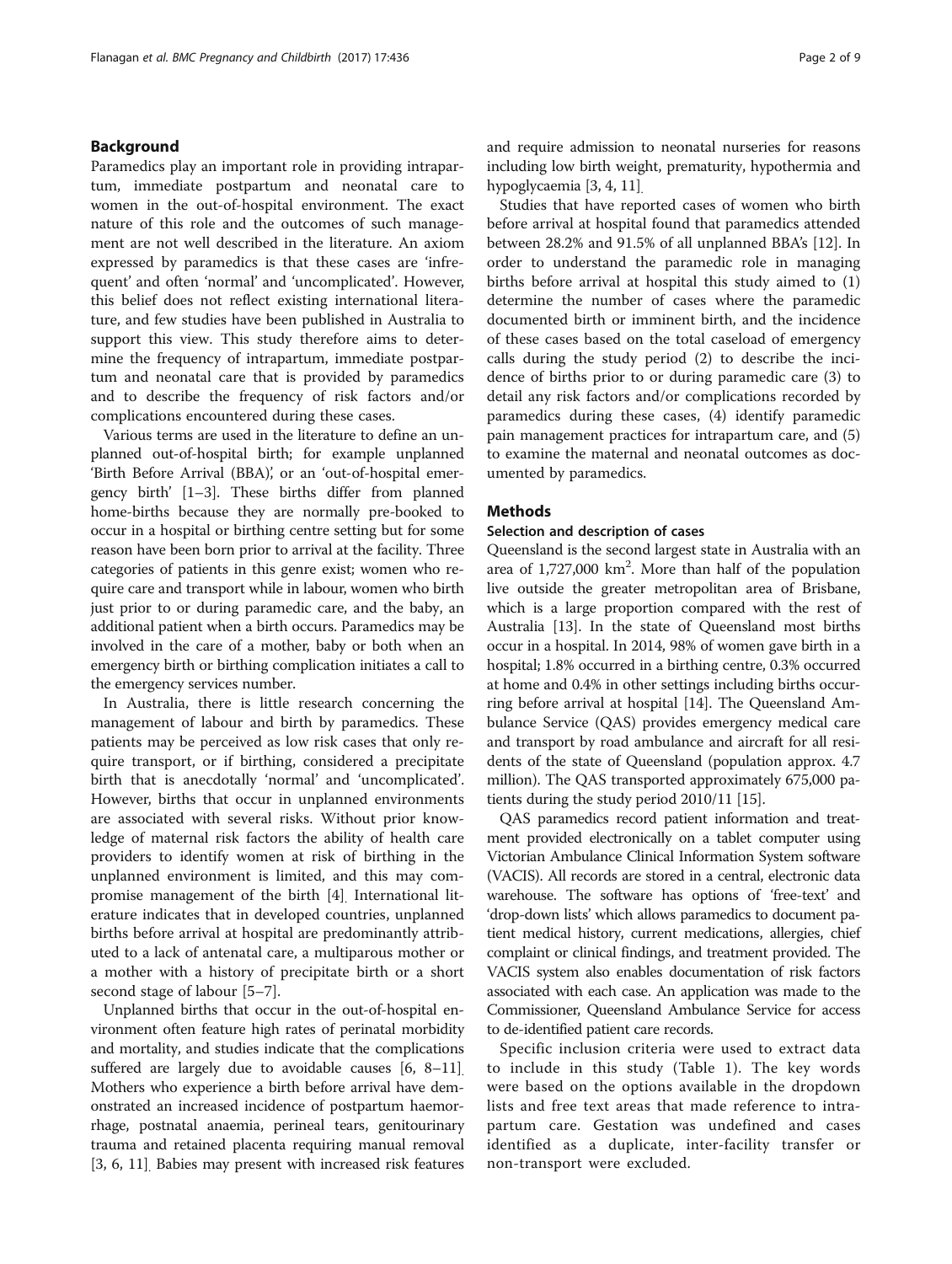## Background

Paramedics play an important role in providing intrapartum, immediate postpartum and neonatal care to women in the out-of-hospital environment. The exact nature of this role and the outcomes of such management are not well described in the literature. An axiom expressed by paramedics is that these cases are 'infrequent' and often 'normal' and 'uncomplicated'. However, this belief does not reflect existing international literature, and few studies have been published in Australia to support this view. This study therefore aims to determine the frequency of intrapartum, immediate postpartum and neonatal care that is provided by paramedics and to describe the frequency of risk factors and/or complications encountered during these cases.

Various terms are used in the literature to define an unplanned out-of-hospital birth; for example unplanned 'Birth Before Arrival (BBA)', or an 'out-of-hospital emergency birth' [\[1](#page-7-0)–[3](#page-7-0)]. These births differ from planned home-births because they are normally pre-booked to occur in a hospital or birthing centre setting but for some reason have been born prior to arrival at the facility. Three categories of patients in this genre exist; women who require care and transport while in labour, women who birth just prior to or during paramedic care, and the baby, an additional patient when a birth occurs. Paramedics may be involved in the care of a mother, baby or both when an emergency birth or birthing complication initiates a call to the emergency services number.

In Australia, there is little research concerning the management of labour and birth by paramedics. These patients may be perceived as low risk cases that only require transport, or if birthing, considered a precipitate birth that is anecdotally 'normal' and 'uncomplicated'. However, births that occur in unplanned environments are associated with several risks. Without prior knowledge of maternal risk factors the ability of health care providers to identify women at risk of birthing in the unplanned environment is limited, and this may compromise management of the birth [[4\]](#page-7-0). International literature indicates that in developed countries, unplanned births before arrival at hospital are predominantly attributed to a lack of antenatal care, a multiparous mother or a mother with a history of precipitate birth or a short second stage of labour [[5](#page-7-0)–[7](#page-8-0)].

Unplanned births that occur in the out-of-hospital environment often feature high rates of perinatal morbidity and mortality, and studies indicate that the complications suffered are largely due to avoidable causes [\[6](#page-8-0), [8](#page-8-0)–[11\]](#page-8-0). Mothers who experience a birth before arrival have demonstrated an increased incidence of postpartum haemorrhage, postnatal anaemia, perineal tears, genitourinary trauma and retained placenta requiring manual removal [[3,](#page-7-0) [6, 11\]](#page-8-0). Babies may present with increased risk features and require admission to neonatal nurseries for reasons including low birth weight, prematurity, hypothermia and hypoglycaemia [\[3](#page-7-0), [4,](#page-7-0) [11\]](#page-8-0).

Studies that have reported cases of women who birth before arrival at hospital found that paramedics attended between 28.2% and 91.5% of all unplanned BBA's [[12\]](#page-8-0). In order to understand the paramedic role in managing births before arrival at hospital this study aimed to (1) determine the number of cases where the paramedic documented birth or imminent birth, and the incidence of these cases based on the total caseload of emergency calls during the study period (2) to describe the incidence of births prior to or during paramedic care (3) to detail any risk factors and/or complications recorded by paramedics during these cases, (4) identify paramedic pain management practices for intrapartum care, and (5) to examine the maternal and neonatal outcomes as documented by paramedics.

## **Methods**

## Selection and description of cases

Queensland is the second largest state in Australia with an area of 1,727,000 km<sup>2</sup>. More than half of the population live outside the greater metropolitan area of Brisbane, which is a large proportion compared with the rest of Australia [\[13\]](#page-8-0). In the state of Queensland most births occur in a hospital. In 2014, 98% of women gave birth in a hospital; 1.8% occurred in a birthing centre, 0.3% occurred at home and 0.4% in other settings including births occurring before arrival at hospital [[14\]](#page-8-0). The Queensland Ambulance Service (QAS) provides emergency medical care and transport by road ambulance and aircraft for all residents of the state of Queensland (population approx. 4.7 million). The QAS transported approximately 675,000 patients during the study period 2010/11 [\[15\]](#page-8-0).

QAS paramedics record patient information and treatment provided electronically on a tablet computer using Victorian Ambulance Clinical Information System software (VACIS). All records are stored in a central, electronic data warehouse. The software has options of 'free-text' and 'drop-down lists' which allows paramedics to document patient medical history, current medications, allergies, chief complaint or clinical findings, and treatment provided. The VACIS system also enables documentation of risk factors associated with each case. An application was made to the Commissioner, Queensland Ambulance Service for access to de-identified patient care records.

Specific inclusion criteria were used to extract data to include in this study (Table [1\)](#page-2-0). The key words were based on the options available in the dropdown lists and free text areas that made reference to intrapartum care. Gestation was undefined and cases identified as a duplicate, inter-facility transfer or non-transport were excluded.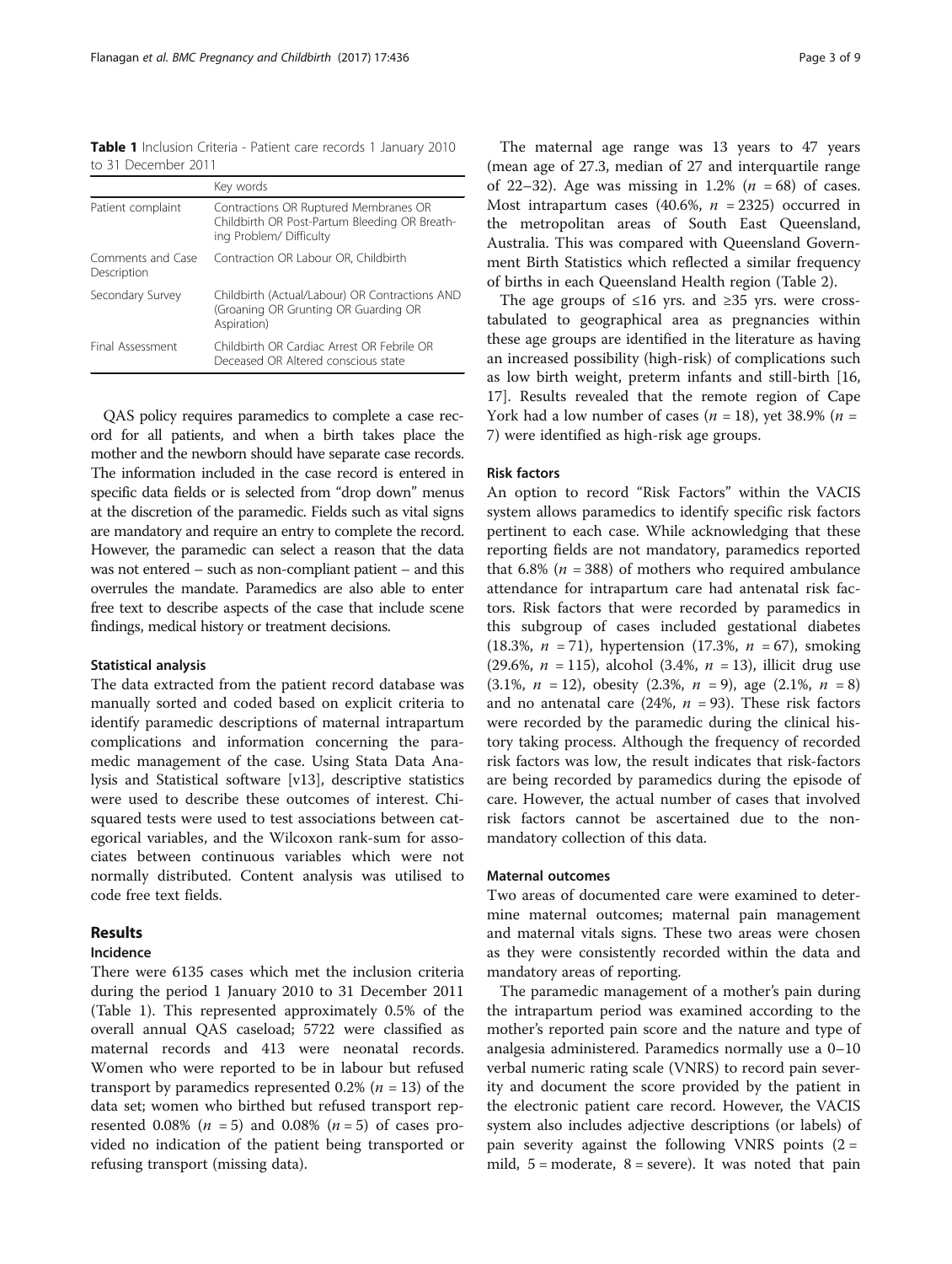<span id="page-2-0"></span>Table 1 Inclusion Criteria - Patient care records 1 January 2010 to 31 December 2011

|                                  | Key words                                                                                                         |
|----------------------------------|-------------------------------------------------------------------------------------------------------------------|
| Patient complaint                | Contractions OR Ruptured Membranes OR<br>Childbirth OR Post-Partum Bleeding OR Breath-<br>ing Problem/ Difficulty |
| Comments and Case<br>Description | Contraction OR Labour OR, Childbirth                                                                              |
| Secondary Survey                 | Childbirth (Actual/Labour) OR Contractions AND<br>(Groaning OR Grunting OR Guarding OR<br>Aspiration)             |
| Final Assessment                 | Childbirth OR Cardiac Arrest OR Febrile OR<br>Deceased OR Altered conscious state                                 |

QAS policy requires paramedics to complete a case record for all patients, and when a birth takes place the mother and the newborn should have separate case records. The information included in the case record is entered in specific data fields or is selected from "drop down" menus at the discretion of the paramedic. Fields such as vital signs are mandatory and require an entry to complete the record. However, the paramedic can select a reason that the data was not entered – such as non-compliant patient – and this overrules the mandate. Paramedics are also able to enter free text to describe aspects of the case that include scene findings, medical history or treatment decisions.

## Statistical analysis

The data extracted from the patient record database was manually sorted and coded based on explicit criteria to identify paramedic descriptions of maternal intrapartum complications and information concerning the paramedic management of the case. Using Stata Data Analysis and Statistical software [v13], descriptive statistics were used to describe these outcomes of interest. Chisquared tests were used to test associations between categorical variables, and the Wilcoxon rank-sum for associates between continuous variables which were not normally distributed. Content analysis was utilised to code free text fields.

## Results

## Incidence

There were 6135 cases which met the inclusion criteria during the period 1 January 2010 to 31 December 2011 (Table 1). This represented approximately 0.5% of the overall annual QAS caseload; 5722 were classified as maternal records and 413 were neonatal records. Women who were reported to be in labour but refused transport by paramedics represented 0.2% ( $n = 13$ ) of the data set; women who birthed but refused transport represented 0.08% ( $n = 5$ ) and 0.08% ( $n = 5$ ) of cases provided no indication of the patient being transported or refusing transport (missing data).

The maternal age range was 13 years to 47 years (mean age of 27.3, median of 27 and interquartile range of 22–32). Age was missing in 1.2% ( $n = 68$ ) of cases. Most intrapartum cases (40.6%,  $n = 2325$ ) occurred in the metropolitan areas of South East Queensland, Australia. This was compared with Queensland Government Birth Statistics which reflected a similar frequency of births in each Queensland Health region (Table [2\)](#page-3-0).

The age groups of  $\leq 16$  yrs. and  $\geq 35$  yrs. were crosstabulated to geographical area as pregnancies within these age groups are identified in the literature as having an increased possibility (high-risk) of complications such as low birth weight, preterm infants and still-birth [[16](#page-8-0), [17\]](#page-8-0). Results revealed that the remote region of Cape York had a low number of cases ( $n = 18$ ), yet 38.9% ( $n =$ 7) were identified as high-risk age groups.

## Risk factors

An option to record "Risk Factors" within the VACIS system allows paramedics to identify specific risk factors pertinent to each case. While acknowledging that these reporting fields are not mandatory, paramedics reported that 6.8% ( $n = 388$ ) of mothers who required ambulance attendance for intrapartum care had antenatal risk factors. Risk factors that were recorded by paramedics in this subgroup of cases included gestational diabetes (18.3%,  $n = 71$ ), hypertension (17.3%,  $n = 67$ ), smoking (29.6%,  $n = 115$ ), alcohol (3.4%,  $n = 13$ ), illicit drug use  $(3.1\%, n = 12)$ , obesity  $(2.3\%, n = 9)$ , age  $(2.1\%, n = 8)$ and no antenatal care  $(24\%, n = 93)$ . These risk factors were recorded by the paramedic during the clinical history taking process. Although the frequency of recorded risk factors was low, the result indicates that risk-factors are being recorded by paramedics during the episode of care. However, the actual number of cases that involved risk factors cannot be ascertained due to the nonmandatory collection of this data.

## Maternal outcomes

Two areas of documented care were examined to determine maternal outcomes; maternal pain management and maternal vitals signs. These two areas were chosen as they were consistently recorded within the data and mandatory areas of reporting.

The paramedic management of a mother's pain during the intrapartum period was examined according to the mother's reported pain score and the nature and type of analgesia administered. Paramedics normally use a 0–10 verbal numeric rating scale (VNRS) to record pain severity and document the score provided by the patient in the electronic patient care record. However, the VACIS system also includes adjective descriptions (or labels) of pain severity against the following VNRS points  $(2 =$ mild,  $5 =$  moderate,  $8 =$  severe). It was noted that pain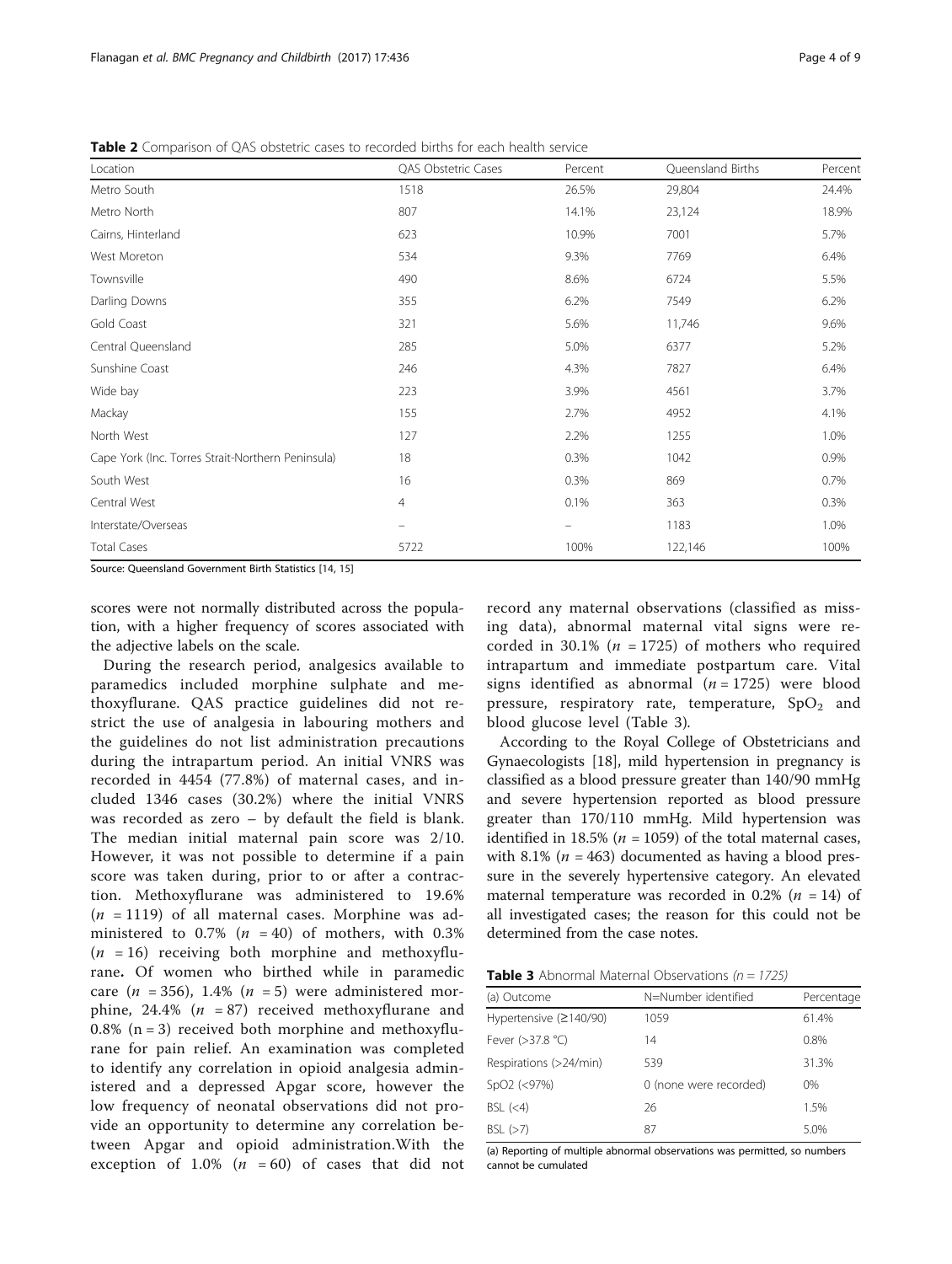| Location                                          | QAS Obstetric Cases | Percent                        | Queensland Births | Percent |
|---------------------------------------------------|---------------------|--------------------------------|-------------------|---------|
| Metro South                                       | 1518                | 26.5%                          | 29,804            | 24.4%   |
| Metro North                                       | 807                 | 14.1%                          | 23,124            | 18.9%   |
| Cairns, Hinterland                                | 623                 | 10.9%                          | 7001              | 5.7%    |
| West Moreton                                      | 534                 | 9.3%                           | 7769              | 6.4%    |
| Townsville                                        | 490                 | 8.6%                           | 6724              | 5.5%    |
| Darling Downs                                     | 355                 | 6.2%                           | 7549              | 6.2%    |
| Gold Coast                                        | 321                 | 5.6%                           | 11,746            | 9.6%    |
| Central Queensland                                | 285                 | 5.0%                           | 6377              | 5.2%    |
| Sunshine Coast                                    | 246                 | 4.3%                           | 7827              | 6.4%    |
| Wide bay                                          | 223                 | 3.9%                           | 4561              | 3.7%    |
| Mackay                                            | 155                 | 2.7%                           | 4952              | 4.1%    |
| North West                                        | 127                 | 2.2%                           | 1255              | 1.0%    |
| Cape York (Inc. Torres Strait-Northern Peninsula) | 18                  | 0.3%                           | 1042              | 0.9%    |
| South West                                        | 16                  | 0.3%                           | 869               | 0.7%    |
| Central West                                      | $\overline{4}$      | 0.1%                           | 363               | 0.3%    |
| Interstate/Overseas                               |                     | $\qquad \qquad \longleftarrow$ | 1183              | 1.0%    |
| <b>Total Cases</b>                                | 5722                | 100%                           | 122,146           | 100%    |

<span id="page-3-0"></span>**Table 2** Comparison of QAS obstetric cases to recorded births for each health service

Source: Queensland Government Birth Statistics [[14,](#page-8-0) [15](#page-8-0)]

scores were not normally distributed across the population, with a higher frequency of scores associated with the adjective labels on the scale.

During the research period, analgesics available to paramedics included morphine sulphate and methoxyflurane. QAS practice guidelines did not restrict the use of analgesia in labouring mothers and the guidelines do not list administration precautions during the intrapartum period. An initial VNRS was recorded in 4454 (77.8%) of maternal cases, and included 1346 cases (30.2%) where the initial VNRS was recorded as zero – by default the field is blank. The median initial maternal pain score was 2/10. However, it was not possible to determine if a pain score was taken during, prior to or after a contraction. Methoxyflurane was administered to 19.6%  $(n = 1119)$  of all maternal cases. Morphine was administered to 0.7%  $(n = 40)$  of mothers, with 0.3%  $(n = 16)$  receiving both morphine and methoxyflurane. Of women who birthed while in paramedic care ( $n = 356$ ), 1.4% ( $n = 5$ ) were administered morphine, 24.4% ( $n = 87$ ) received methoxyflurane and 0.8% ( $n = 3$ ) received both morphine and methoxyflurane for pain relief. An examination was completed to identify any correlation in opioid analgesia administered and a depressed Apgar score, however the low frequency of neonatal observations did not provide an opportunity to determine any correlation between Apgar and opioid administration.With the exception of 1.0%  $(n = 60)$  of cases that did not record any maternal observations (classified as missing data), abnormal maternal vital signs were recorded in 30.1% ( $n = 1725$ ) of mothers who required intrapartum and immediate postpartum care. Vital signs identified as abnormal  $(n = 1725)$  were blood pressure, respiratory rate, temperature,  $SpO<sub>2</sub>$  and blood glucose level (Table 3).

According to the Royal College of Obstetricians and Gynaecologists [[18](#page-8-0)], mild hypertension in pregnancy is classified as a blood pressure greater than 140/90 mmHg and severe hypertension reported as blood pressure greater than 170/110 mmHg. Mild hypertension was identified in 18.5% ( $n = 1059$ ) of the total maternal cases, with 8.1% ( $n = 463$ ) documented as having a blood pressure in the severely hypertensive category. An elevated maternal temperature was recorded in 0.2% ( $n = 14$ ) of all investigated cases; the reason for this could not be determined from the case notes.

**Table 3** Abnormal Maternal Observations ( $n = 1725$ )

| (a) Outcome            | N=Number identified    | Percentage |  |
|------------------------|------------------------|------------|--|
| Hypertensive (≥140/90) | 1059                   | 61.4%      |  |
| Fever (>37.8 °C)       | 14                     | $0.8\%$    |  |
| Respirations (>24/min) | 539                    | 31.3%      |  |
| SpO2 (<97%)            | 0 (none were recorded) | $0\%$      |  |
| $BSL$ (<4)             | 26                     | 1.5%       |  |
| BSL $(>7)$             | 87                     | 5.0%       |  |

(a) Reporting of multiple abnormal observations was permitted, so numbers cannot be cumulated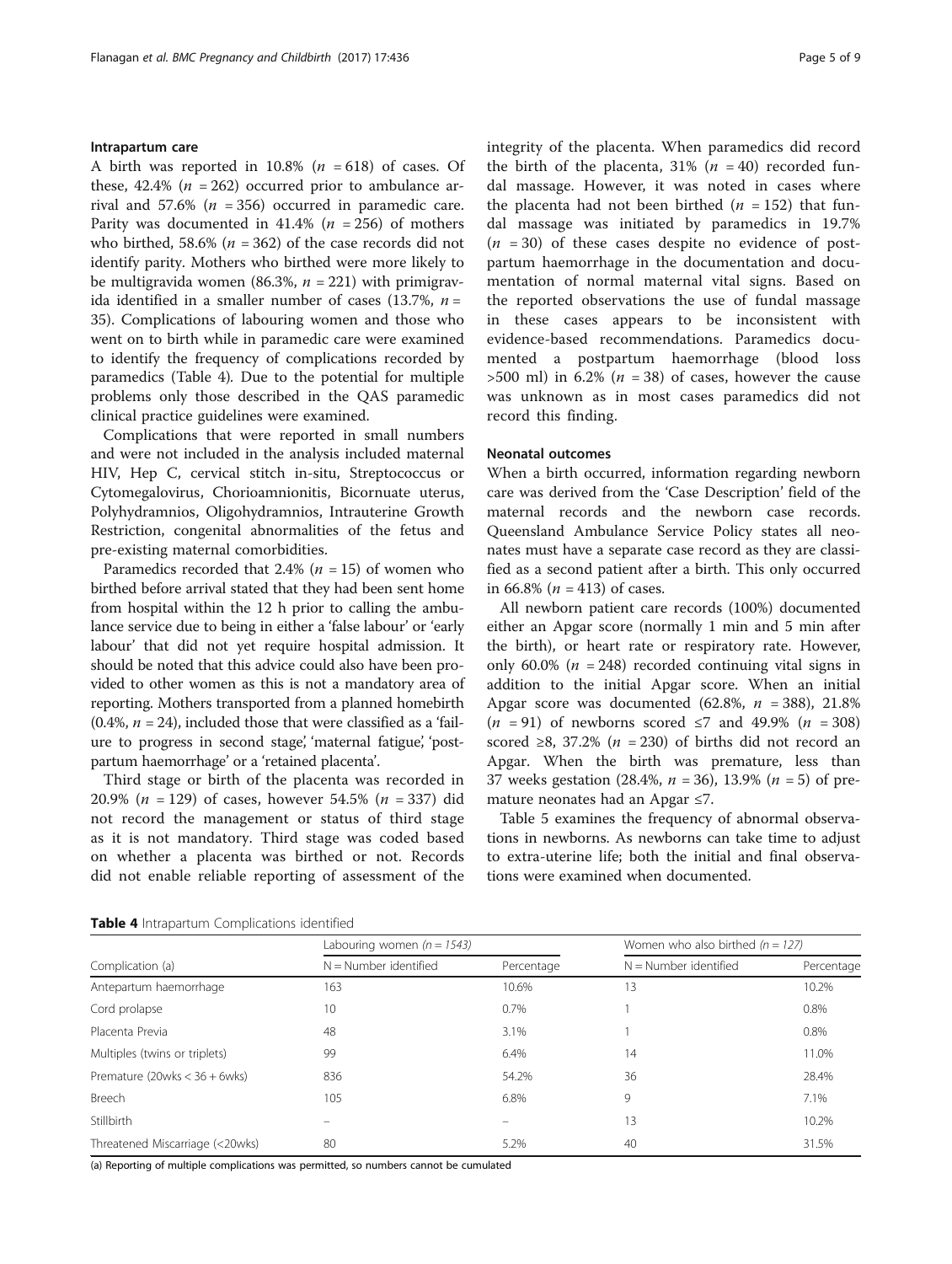## Intrapartum care

A birth was reported in 10.8% ( $n = 618$ ) of cases. Of these, 42.4% ( $n = 262$ ) occurred prior to ambulance arrival and 57.6% ( $n = 356$ ) occurred in paramedic care. Parity was documented in 41.4% ( $n = 256$ ) of mothers who birthed, 58.6% ( $n = 362$ ) of the case records did not identify parity. Mothers who birthed were more likely to be multigravida women (86.3%,  $n = 221$ ) with primigravida identified in a smaller number of cases (13.7%,  $n =$ 35). Complications of labouring women and those who went on to birth while in paramedic care were examined to identify the frequency of complications recorded by paramedics (Table 4). Due to the potential for multiple problems only those described in the QAS paramedic clinical practice guidelines were examined.

Complications that were reported in small numbers and were not included in the analysis included maternal HIV, Hep C, cervical stitch in-situ, Streptococcus or Cytomegalovirus, Chorioamnionitis, Bicornuate uterus, Polyhydramnios, Oligohydramnios, Intrauterine Growth Restriction, congenital abnormalities of the fetus and pre-existing maternal comorbidities.

Paramedics recorded that 2.4% ( $n = 15$ ) of women who birthed before arrival stated that they had been sent home from hospital within the 12 h prior to calling the ambulance service due to being in either a 'false labour' or 'early labour' that did not yet require hospital admission. It should be noted that this advice could also have been provided to other women as this is not a mandatory area of reporting. Mothers transported from a planned homebirth  $(0.4\%, n = 24)$ , included those that were classified as a 'failure to progress in second stage', 'maternal fatigue', 'postpartum haemorrhage' or a 'retained placenta'.

Third stage or birth of the placenta was recorded in 20.9% ( $n = 129$ ) of cases, however 54.5% ( $n = 337$ ) did not record the management or status of third stage as it is not mandatory. Third stage was coded based on whether a placenta was birthed or not. Records did not enable reliable reporting of assessment of the integrity of the placenta. When paramedics did record the birth of the placenta, 31% ( $n = 40$ ) recorded fundal massage. However, it was noted in cases where the placenta had not been birthed ( $n = 152$ ) that fundal massage was initiated by paramedics in 19.7%  $(n = 30)$  of these cases despite no evidence of postpartum haemorrhage in the documentation and documentation of normal maternal vital signs. Based on the reported observations the use of fundal massage in these cases appears to be inconsistent with evidence-based recommendations. Paramedics documented a postpartum haemorrhage (blood loss  $>500$  ml) in 6.2% (*n* = 38) of cases, however the cause was unknown as in most cases paramedics did not record this finding.

## Neonatal outcomes

When a birth occurred, information regarding newborn care was derived from the 'Case Description' field of the maternal records and the newborn case records. Queensland Ambulance Service Policy states all neonates must have a separate case record as they are classified as a second patient after a birth. This only occurred in 66.8% ( $n = 413$ ) of cases.

All newborn patient care records (100%) documented either an Apgar score (normally 1 min and 5 min after the birth), or heart rate or respiratory rate. However, only 60.0% ( $n = 248$ ) recorded continuing vital signs in addition to the initial Apgar score. When an initial Apgar score was documented  $(62.8\%, n = 388)$ , 21.8%  $(n = 91)$  of newborns scored ≤7 and 49.9%  $(n = 308)$ scored ≥8, 37.2% ( $n = 230$ ) of births did not record an Apgar. When the birth was premature, less than 37 weeks gestation (28.4%,  $n = 36$ ), 13.9% ( $n = 5$ ) of premature neonates had an Apgar ≤7.

Table [5](#page-5-0) examines the frequency of abnormal observations in newborns. As newborns can take time to adjust to extra-uterine life; both the initial and final observations were examined when documented.

Table 4 Intrapartum Complications identified

Labouring women  $(n = 1543)$  Women who also birthed  $(n = 127)$ Complication (a)  $N =$  Number identified Percentage  $N =$  Number identified Percentage Antepartum haemorrhage 163 10.6% 13 10.2%  $\text{Cord}$  prolapse  $\text{Cord}$   $\text{Cord}$   $\text{Cord}$   $\text{Cord}$   $\text{Cord}$   $\text{Cord}$   $\text{Cord}$   $\text{Cord}$   $\text{Cord}$   $\text{Cord}$   $\text{Cord}$   $\text{Cord}$   $\text{Cord}$   $\text{Cord}$   $\text{Cord}$   $\text{Cord}$   $\text{Cord}$   $\text{Cord}$   $\text{Cord}$   $\text{Cord}$   $\text{Cord}$   $\text{Cord}$   $\text{C$ Placenta Previa 48 3.1% 1 0.8% Multiples (twins or triplets) 99 6.4% 11.0% 14 11.0% 16.4% Premature (20wks < 36 + 6wks) 836 36 36 36 36 36 36 36 36 38.4% 36 36 36 38.4% 36 36 36 38.4% 36 36 38.4% 36 38.4% 36 38.4% 36 38.4% 36 38.4% 36 38.4% 36 38.4% 36 38.4% 36 38.4% 36 38.4% 36 38.4% 36 38.4% 36 38.4% 36 38.4% Breech 105 6.8% 9 7.1% Stillbirth – – 13 10.2% Threatened Miscarriage (<20wks) 80 5.2% 40 31.5%

(a) Reporting of multiple complications was permitted, so numbers cannot be cumulated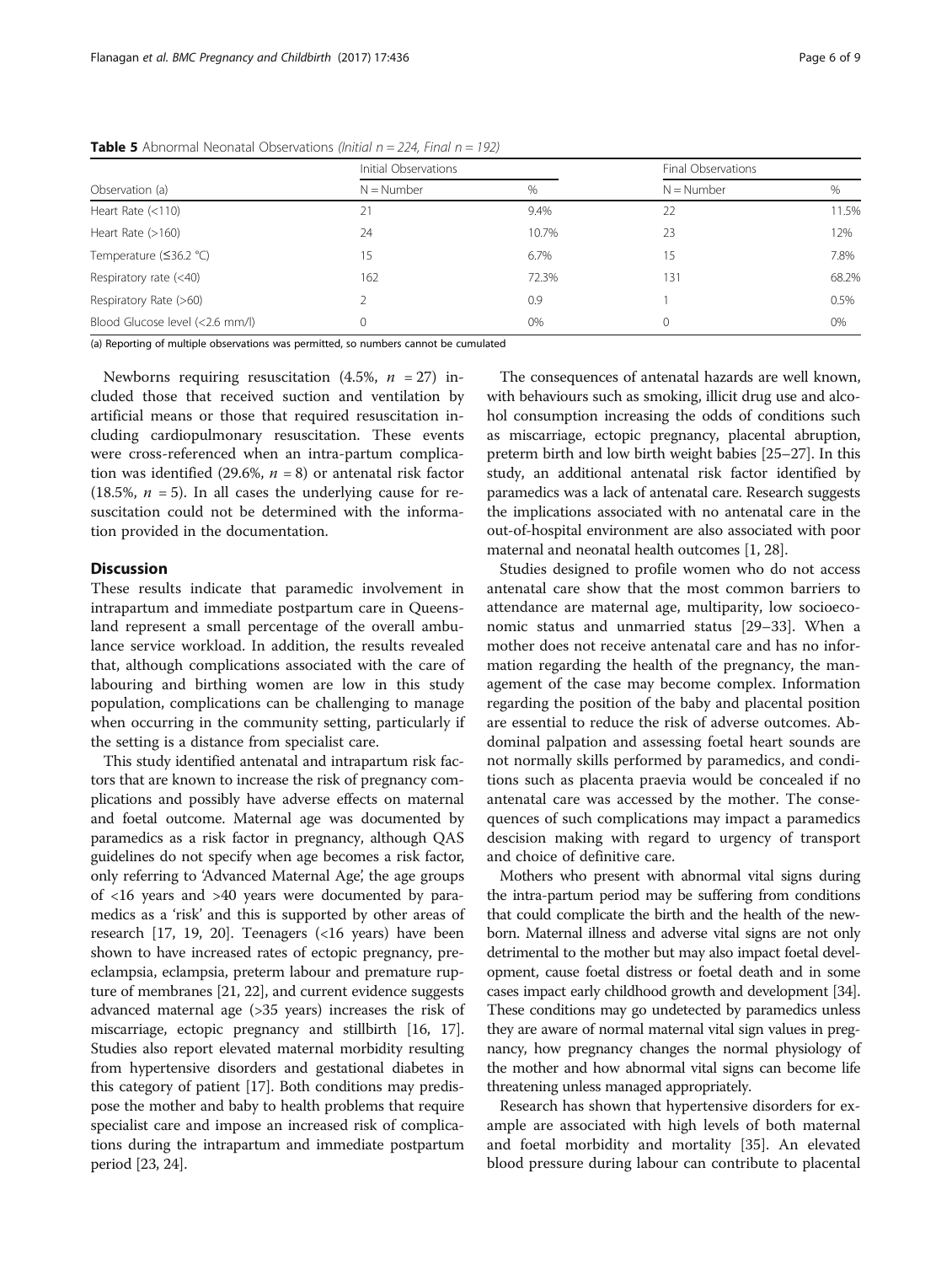| Observation (a)                     | Initial Observations |       | Final Observations |       |
|-------------------------------------|----------------------|-------|--------------------|-------|
|                                     | $N =$ Number         | $\%$  | $N =$ Number       | %     |
| Heart Rate $(<110)$                 | 21                   | 9.4%  | 22                 | 11.5% |
| Heart Rate $(>160)$                 | 24                   | 10.7% | 23                 | 12%   |
| Temperature $(\leq 36.2 \degree C)$ | 15                   | 6.7%  | 15                 | 7.8%  |
| Respiratory rate $(<$ 40)           | 162                  | 72.3% | 131                | 68.2% |
| Respiratory Rate (>60)              |                      | 0.9   |                    | 0.5%  |
| Blood Glucose level (<2.6 mm/l)     | 0                    | 0%    |                    | 0%    |

<span id="page-5-0"></span>**Table 5** Abnormal Neonatal Observations (Initial  $n = 224$ , Final  $n = 192$ )

(a) Reporting of multiple observations was permitted, so numbers cannot be cumulated

Newborns requiring resuscitation (4.5%,  $n = 27$ ) included those that received suction and ventilation by artificial means or those that required resuscitation including cardiopulmonary resuscitation. These events were cross-referenced when an intra-partum complication was identified (29.6%,  $n = 8$ ) or antenatal risk factor (18.5%,  $n = 5$ ). In all cases the underlying cause for resuscitation could not be determined with the information provided in the documentation.

## **Discussion**

These results indicate that paramedic involvement in intrapartum and immediate postpartum care in Queensland represent a small percentage of the overall ambulance service workload. In addition, the results revealed that, although complications associated with the care of labouring and birthing women are low in this study population, complications can be challenging to manage when occurring in the community setting, particularly if the setting is a distance from specialist care.

This study identified antenatal and intrapartum risk factors that are known to increase the risk of pregnancy complications and possibly have adverse effects on maternal and foetal outcome. Maternal age was documented by paramedics as a risk factor in pregnancy, although QAS guidelines do not specify when age becomes a risk factor, only referring to 'Advanced Maternal Age', the age groups of <16 years and >40 years were documented by paramedics as a 'risk' and this is supported by other areas of research [\[17, 19](#page-8-0), [20](#page-8-0)]. Teenagers (<16 years) have been shown to have increased rates of ectopic pregnancy, preeclampsia, eclampsia, preterm labour and premature rupture of membranes [[21](#page-8-0), [22\]](#page-8-0), and current evidence suggests advanced maternal age (>35 years) increases the risk of miscarriage, ectopic pregnancy and stillbirth [[16](#page-8-0), [17](#page-8-0)]. Studies also report elevated maternal morbidity resulting from hypertensive disorders and gestational diabetes in this category of patient [[17](#page-8-0)]. Both conditions may predispose the mother and baby to health problems that require specialist care and impose an increased risk of complications during the intrapartum and immediate postpartum period [\[23, 24](#page-8-0)].

The consequences of antenatal hazards are well known, with behaviours such as smoking, illicit drug use and alcohol consumption increasing the odds of conditions such as miscarriage, ectopic pregnancy, placental abruption, preterm birth and low birth weight babies [\[25](#page-8-0)–[27\]](#page-8-0). In this study, an additional antenatal risk factor identified by paramedics was a lack of antenatal care. Research suggests the implications associated with no antenatal care in the out-of-hospital environment are also associated with poor maternal and neonatal health outcomes [[1,](#page-7-0) [28\]](#page-8-0).

Studies designed to profile women who do not access antenatal care show that the most common barriers to attendance are maternal age, multiparity, low socioeconomic status and unmarried status [[29](#page-8-0)–[33](#page-8-0)]. When a mother does not receive antenatal care and has no information regarding the health of the pregnancy, the management of the case may become complex. Information regarding the position of the baby and placental position are essential to reduce the risk of adverse outcomes. Abdominal palpation and assessing foetal heart sounds are not normally skills performed by paramedics, and conditions such as placenta praevia would be concealed if no antenatal care was accessed by the mother. The consequences of such complications may impact a paramedics descision making with regard to urgency of transport and choice of definitive care.

Mothers who present with abnormal vital signs during the intra-partum period may be suffering from conditions that could complicate the birth and the health of the newborn. Maternal illness and adverse vital signs are not only detrimental to the mother but may also impact foetal development, cause foetal distress or foetal death and in some cases impact early childhood growth and development [\[34](#page-8-0)]. These conditions may go undetected by paramedics unless they are aware of normal maternal vital sign values in pregnancy, how pregnancy changes the normal physiology of the mother and how abnormal vital signs can become life threatening unless managed appropriately.

Research has shown that hypertensive disorders for example are associated with high levels of both maternal and foetal morbidity and mortality [\[35](#page-8-0)]. An elevated blood pressure during labour can contribute to placental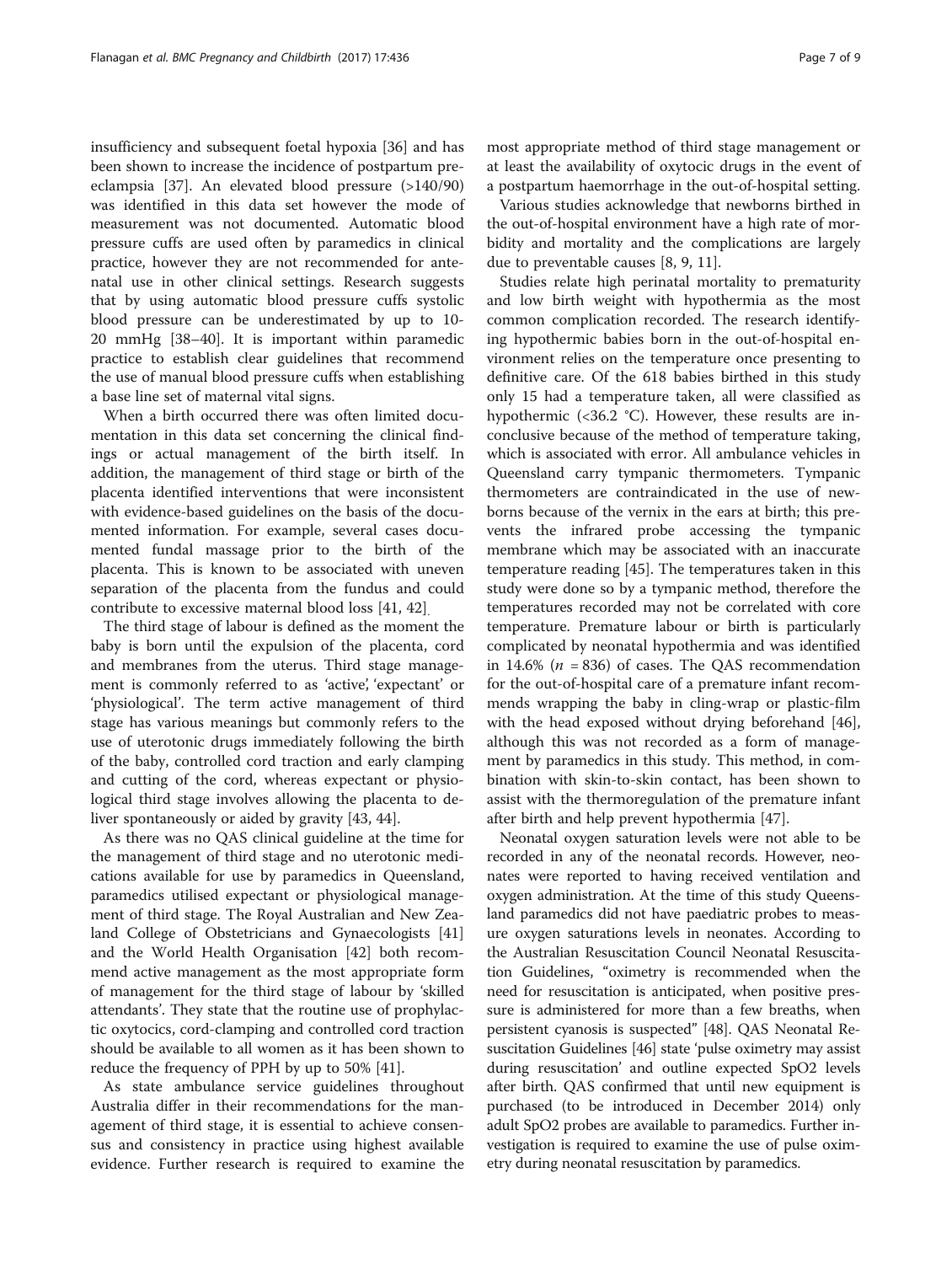insufficiency and subsequent foetal hypoxia [\[36](#page-8-0)] and has been shown to increase the incidence of postpartum preeclampsia [\[37](#page-8-0)]. An elevated blood pressure (>140/90) was identified in this data set however the mode of measurement was not documented. Automatic blood pressure cuffs are used often by paramedics in clinical practice, however they are not recommended for antenatal use in other clinical settings. Research suggests that by using automatic blood pressure cuffs systolic blood pressure can be underestimated by up to 10- 20 mmHg [[38](#page-8-0)–[40](#page-8-0)]. It is important within paramedic practice to establish clear guidelines that recommend the use of manual blood pressure cuffs when establishing a base line set of maternal vital signs.

When a birth occurred there was often limited documentation in this data set concerning the clinical findings or actual management of the birth itself. In addition, the management of third stage or birth of the placenta identified interventions that were inconsistent with evidence-based guidelines on the basis of the documented information. For example, several cases documented fundal massage prior to the birth of the placenta. This is known to be associated with uneven separation of the placenta from the fundus and could contribute to excessive maternal blood loss [[41](#page-8-0), [42](#page-8-0)].

The third stage of labour is defined as the moment the baby is born until the expulsion of the placenta, cord and membranes from the uterus. Third stage management is commonly referred to as 'active', 'expectant' or 'physiological'. The term active management of third stage has various meanings but commonly refers to the use of uterotonic drugs immediately following the birth of the baby, controlled cord traction and early clamping and cutting of the cord, whereas expectant or physiological third stage involves allowing the placenta to deliver spontaneously or aided by gravity [[43](#page-8-0), [44](#page-8-0)].

As there was no QAS clinical guideline at the time for the management of third stage and no uterotonic medications available for use by paramedics in Queensland, paramedics utilised expectant or physiological management of third stage. The Royal Australian and New Zealand College of Obstetricians and Gynaecologists [[41](#page-8-0)] and the World Health Organisation [\[42](#page-8-0)] both recommend active management as the most appropriate form of management for the third stage of labour by 'skilled attendants'. They state that the routine use of prophylactic oxytocics, cord-clamping and controlled cord traction should be available to all women as it has been shown to reduce the frequency of PPH by up to 50% [\[41](#page-8-0)].

As state ambulance service guidelines throughout Australia differ in their recommendations for the management of third stage, it is essential to achieve consensus and consistency in practice using highest available evidence. Further research is required to examine the

most appropriate method of third stage management or at least the availability of oxytocic drugs in the event of a postpartum haemorrhage in the out-of-hospital setting.

Various studies acknowledge that newborns birthed in the out-of-hospital environment have a high rate of morbidity and mortality and the complications are largely due to preventable causes [\[8](#page-8-0), [9](#page-8-0), [11](#page-8-0)].

Studies relate high perinatal mortality to prematurity and low birth weight with hypothermia as the most common complication recorded. The research identifying hypothermic babies born in the out-of-hospital environment relies on the temperature once presenting to definitive care. Of the 618 babies birthed in this study only 15 had a temperature taken, all were classified as hypothermic (<36.2 °C). However, these results are inconclusive because of the method of temperature taking, which is associated with error. All ambulance vehicles in Queensland carry tympanic thermometers. Tympanic thermometers are contraindicated in the use of newborns because of the vernix in the ears at birth; this prevents the infrared probe accessing the tympanic membrane which may be associated with an inaccurate temperature reading [[45\]](#page-8-0). The temperatures taken in this study were done so by a tympanic method, therefore the temperatures recorded may not be correlated with core temperature. Premature labour or birth is particularly complicated by neonatal hypothermia and was identified in 14.6% ( $n = 836$ ) of cases. The OAS recommendation for the out-of-hospital care of a premature infant recommends wrapping the baby in cling-wrap or plastic-film with the head exposed without drying beforehand [\[46](#page-8-0)], although this was not recorded as a form of management by paramedics in this study. This method, in combination with skin-to-skin contact, has been shown to assist with the thermoregulation of the premature infant after birth and help prevent hypothermia [[47\]](#page-8-0).

Neonatal oxygen saturation levels were not able to be recorded in any of the neonatal records. However, neonates were reported to having received ventilation and oxygen administration. At the time of this study Queensland paramedics did not have paediatric probes to measure oxygen saturations levels in neonates. According to the Australian Resuscitation Council Neonatal Resuscitation Guidelines, "oximetry is recommended when the need for resuscitation is anticipated, when positive pressure is administered for more than a few breaths, when persistent cyanosis is suspected" [\[48\]](#page-8-0). QAS Neonatal Resuscitation Guidelines [\[46\]](#page-8-0) state 'pulse oximetry may assist during resuscitation' and outline expected SpO2 levels after birth. QAS confirmed that until new equipment is purchased (to be introduced in December 2014) only adult SpO2 probes are available to paramedics. Further investigation is required to examine the use of pulse oximetry during neonatal resuscitation by paramedics.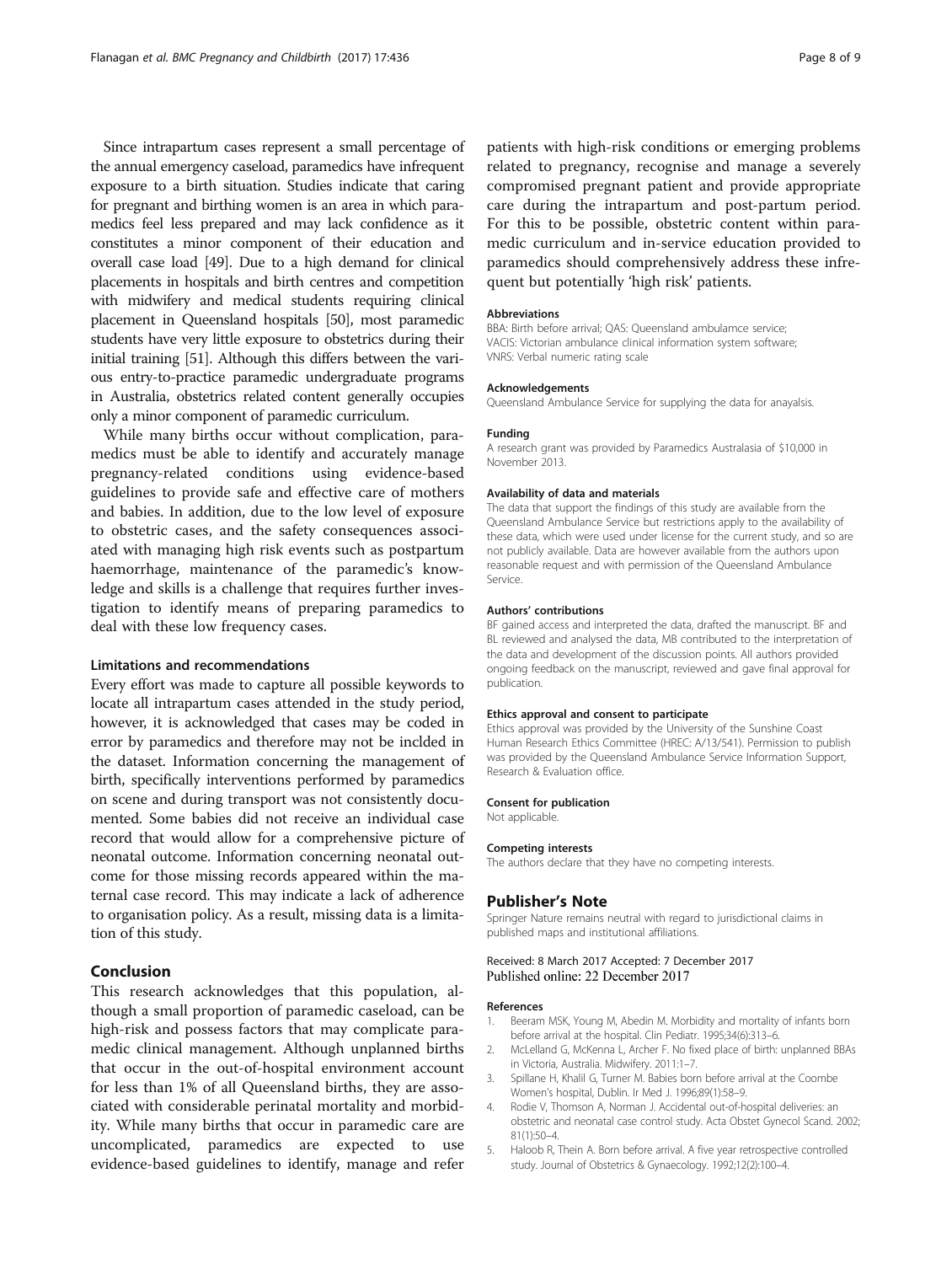<span id="page-7-0"></span>Since intrapartum cases represent a small percentage of the annual emergency caseload, paramedics have infrequent exposure to a birth situation. Studies indicate that caring for pregnant and birthing women is an area in which paramedics feel less prepared and may lack confidence as it constitutes a minor component of their education and overall case load [\[49](#page-8-0)]. Due to a high demand for clinical placements in hospitals and birth centres and competition with midwifery and medical students requiring clinical placement in Queensland hospitals [[50](#page-8-0)], most paramedic students have very little exposure to obstetrics during their initial training [[51\]](#page-8-0). Although this differs between the various entry-to-practice paramedic undergraduate programs in Australia, obstetrics related content generally occupies only a minor component of paramedic curriculum.

While many births occur without complication, paramedics must be able to identify and accurately manage pregnancy-related conditions using evidence-based guidelines to provide safe and effective care of mothers and babies. In addition, due to the low level of exposure to obstetric cases, and the safety consequences associated with managing high risk events such as postpartum haemorrhage, maintenance of the paramedic's knowledge and skills is a challenge that requires further investigation to identify means of preparing paramedics to deal with these low frequency cases.

## Limitations and recommendations

Every effort was made to capture all possible keywords to locate all intrapartum cases attended in the study period, however, it is acknowledged that cases may be coded in error by paramedics and therefore may not be inclded in the dataset. Information concerning the management of birth, specifically interventions performed by paramedics on scene and during transport was not consistently documented. Some babies did not receive an individual case record that would allow for a comprehensive picture of neonatal outcome. Information concerning neonatal outcome for those missing records appeared within the maternal case record. This may indicate a lack of adherence to organisation policy. As a result, missing data is a limitation of this study.

## Conclusion

This research acknowledges that this population, although a small proportion of paramedic caseload, can be high-risk and possess factors that may complicate paramedic clinical management. Although unplanned births that occur in the out-of-hospital environment account for less than 1% of all Queensland births, they are associated with considerable perinatal mortality and morbidity. While many births that occur in paramedic care are uncomplicated, paramedics are expected to use evidence-based guidelines to identify, manage and refer

patients with high-risk conditions or emerging problems related to pregnancy, recognise and manage a severely compromised pregnant patient and provide appropriate care during the intrapartum and post-partum period. For this to be possible, obstetric content within paramedic curriculum and in-service education provided to paramedics should comprehensively address these infrequent but potentially 'high risk' patients.

### **Abbreviations**

BBA: Birth before arrival; QAS: Queensland ambulamce service; VACIS: Victorian ambulance clinical information system software; VNRS: Verbal numeric rating scale

#### Acknowledgements

Queensland Ambulance Service for supplying the data for anayalsis.

#### Funding

A research grant was provided by Paramedics Australasia of \$10,000 in November 2013.

#### Availability of data and materials

The data that support the findings of this study are available from the Queensland Ambulance Service but restrictions apply to the availability of these data, which were used under license for the current study, and so are not publicly available. Data are however available from the authors upon reasonable request and with permission of the Queensland Ambulance Service.

#### Authors' contributions

BF gained access and interpreted the data, drafted the manuscript. BF and BL reviewed and analysed the data, MB contributed to the interpretation of the data and development of the discussion points. All authors provided ongoing feedback on the manuscript, reviewed and gave final approval for publication.

#### Ethics approval and consent to participate

Ethics approval was provided by the University of the Sunshine Coast Human Research Ethics Committee (HREC: A/13/541). Permission to publish was provided by the Queensland Ambulance Service Information Support, Research & Evaluation office.

#### Consent for publication

Not applicable.

#### Competing interests

The authors declare that they have no competing interests.

## Publisher's Note

Springer Nature remains neutral with regard to jurisdictional claims in published maps and institutional affiliations.

## Received: 8 March 2017 Accepted: 7 December 2017 Published online: 22 December 2017

#### References

- 1. Beeram MSK, Young M, Abedin M. Morbidity and mortality of infants born before arrival at the hospital. Clin Pediatr. 1995;34(6):313–6.
- 2. McLelland G, McKenna L, Archer F. No fixed place of birth: unplanned BBAs in Victoria, Australia. Midwifery. 2011:1–7.
- 3. Spillane H, Khalil G, Turner M. Babies born before arrival at the Coombe Women's hospital, Dublin. Ir Med J. 1996;89(1):58–9.
- 4. Rodie V, Thomson A, Norman J. Accidental out-of-hospital deliveries: an obstetric and neonatal case control study. Acta Obstet Gynecol Scand. 2002; 81(1):50–4.
- 5. Haloob R, Thein A. Born before arrival. A five year retrospective controlled study. Journal of Obstetrics & Gynaecology. 1992;12(2):100–4.